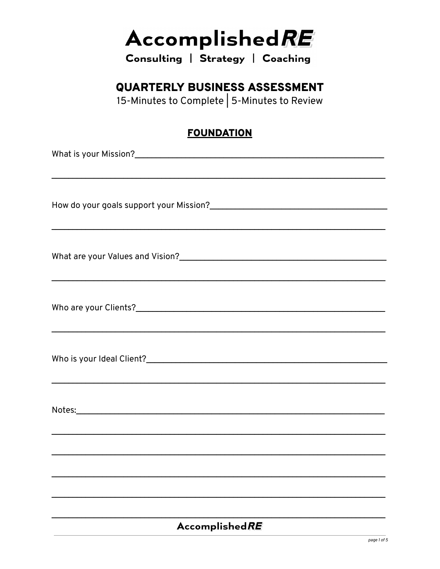Consulting | Strategy | Coaching

### **QUARTERLY BUSINESS ASSESSMENT**

15-Minutes to Complete | 5-Minutes to Review

#### **FOUNDATION**

| ,我们也不会有什么。""我们的人,我们也不会有什么?""我们的人,我们也不会有什么?""我们的人,我们也不会有什么?""我们的人,我们也不会有什么?""我们的人 |  |  |  |
|----------------------------------------------------------------------------------|--|--|--|
|                                                                                  |  |  |  |
|                                                                                  |  |  |  |
|                                                                                  |  |  |  |
|                                                                                  |  |  |  |
|                                                                                  |  |  |  |
|                                                                                  |  |  |  |
|                                                                                  |  |  |  |
|                                                                                  |  |  |  |
|                                                                                  |  |  |  |
|                                                                                  |  |  |  |
|                                                                                  |  |  |  |
|                                                                                  |  |  |  |
|                                                                                  |  |  |  |
|                                                                                  |  |  |  |
| ,我们也不会有什么。""我们的人,我们也不会有什么?""我们的人,我们也不会有什么?""我们的人,我们也不会有什么?""我们的人,我们也不会有什么?""我们的人 |  |  |  |
|                                                                                  |  |  |  |
|                                                                                  |  |  |  |
|                                                                                  |  |  |  |
|                                                                                  |  |  |  |
| <b>AccomplishedRE</b>                                                            |  |  |  |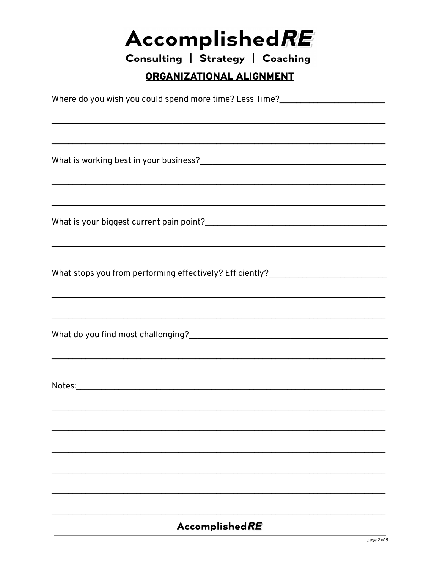Consulting | Strategy | Coaching

#### ORGANIZATIONAL ALIGNMENT

Where do you wish you could spend more time? Less Time?

What is your biggest current pain point?

What stops you from performing effectively? Efficiently?

Notes: when the contract of the contract of the contract of the contract of the contract of the contract of the contract of the contract of the contract of the contract of the contract of the contract of the contract of th

#### AccomplishedRE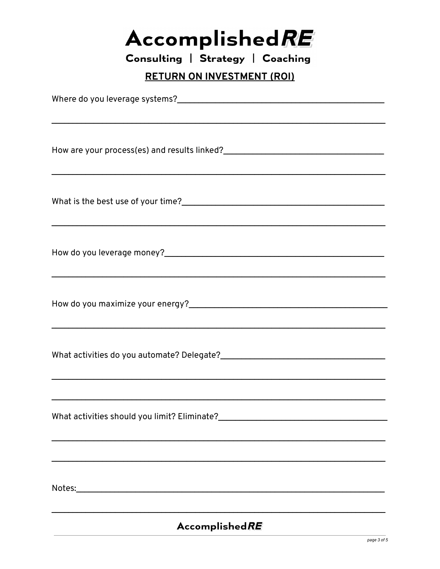| <b>AccomplishedRE</b> |  |  |  |  |
|-----------------------|--|--|--|--|
|-----------------------|--|--|--|--|

Consulting | Strategy | Coaching

#### **RETURN ON INVESTMENT (ROI)**

| <u> 1989 - Johann Stoff, deutscher Stoffen und der Stoffen und der Stoffen und der Stoffen und der Stoffen und de</u> |
|-----------------------------------------------------------------------------------------------------------------------|
|                                                                                                                       |
|                                                                                                                       |
|                                                                                                                       |
|                                                                                                                       |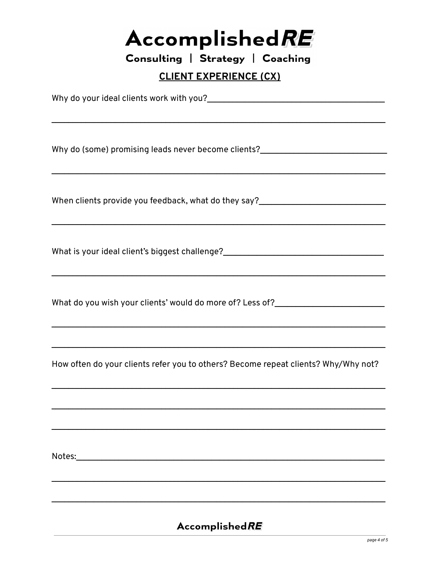Consulting | Strategy | Coaching

**CLIENT EXPERIENCE (CX)** 

What is your ideal client's biggest challenge?\_\_\_\_\_\_\_\_\_\_\_\_\_\_\_\_\_\_\_\_\_\_\_\_\_\_\_\_\_\_\_\_\_\_ How often do your clients refer you to others? Become repeat clients? Why/Why not? 

#### **AccomplishedRE**